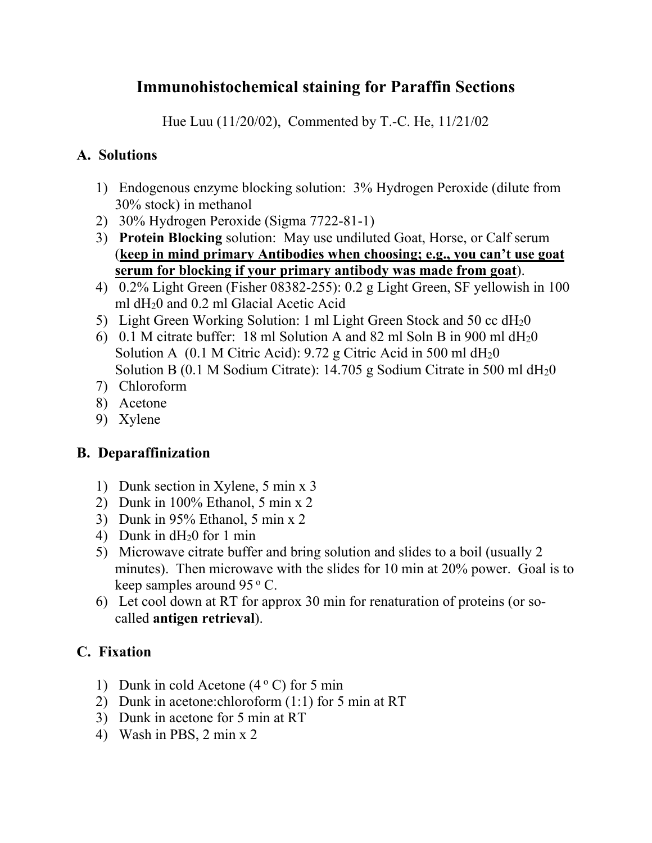# **Immunohistochemical staining for Paraffin Sections**

Hue Luu (11/20/02), Commented by T.-C. He, 11/21/02

# **A. Solutions**

- 1) Endogenous enzyme blocking solution: 3% Hydrogen Peroxide (dilute from 30% stock) in methanol
- 2) 30% Hydrogen Peroxide (Sigma 7722-81-1)
- 3) **Protein Blocking** solution: May use undiluted Goat, Horse, or Calf serum (**keep in mind primary Antibodies when choosing; e.g., you can't use goat serum for blocking if your primary antibody was made from goat**).
- 4) 0.2% Light Green (Fisher 08382-255): 0.2 g Light Green, SF yellowish in 100 ml dH20 and 0.2 ml Glacial Acetic Acid
- 5) Light Green Working Solution: 1 ml Light Green Stock and 50 cc dH20
- 6) 0.1 M citrate buffer: 18 ml Solution A and 82 ml Soln B in 900 ml  $dH_2$ 0 Solution A (0.1 M Citric Acid):  $9.72$  g Citric Acid in 500 ml dH<sub>2</sub>0 Solution B (0.1 M Sodium Citrate):  $14.705$  g Sodium Citrate in 500 ml dH<sub>2</sub>0
- 7) Chloroform
- 8) Acetone
- 9) Xylene

# **B. Deparaffinization**

- 1) Dunk section in Xylene, 5 min x 3
- 2) Dunk in 100% Ethanol, 5 min x 2
- 3) Dunk in 95% Ethanol, 5 min x 2
- 4) Dunk in dH20 for 1 min
- 5) Microwave citrate buffer and bring solution and slides to a boil (usually 2 minutes). Then microwave with the slides for 10 min at 20% power. Goal is to keep samples around  $95^{\circ}$  C.
- 6) Let cool down at RT for approx 30 min for renaturation of proteins (or socalled **antigen retrieval**).

# **C. Fixation**

- 1) Dunk in cold Acetone  $(4^{\circ} \text{C})$  for 5 min
- 2) Dunk in acetone:chloroform (1:1) for 5 min at RT
- 3) Dunk in acetone for 5 min at RT
- 4) Wash in PBS, 2 min x 2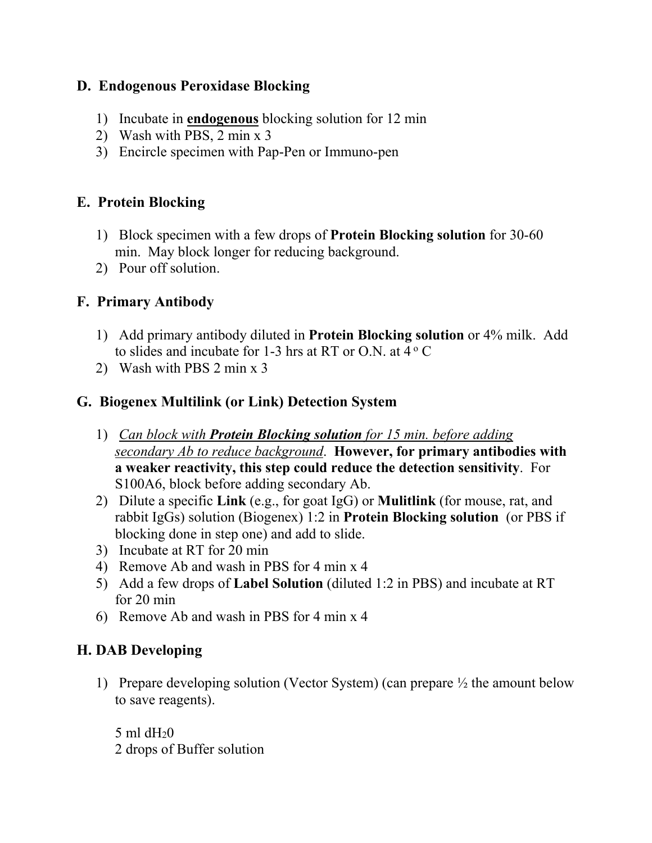#### **D. Endogenous Peroxidase Blocking**

- 1) Incubate in **endogenous** blocking solution for 12 min
- 2) Wash with PBS, 2 min x 3
- 3) Encircle specimen with Pap-Pen or Immuno-pen

# **E. Protein Blocking**

- 1) Block specimen with a few drops of **Protein Blocking solution** for 30-60 min. May block longer for reducing background.
- 2) Pour off solution.

# **F. Primary Antibody**

- 1) Add primary antibody diluted in **Protein Blocking solution** or 4% milk. Add to slides and incubate for 1-3 hrs at RT or O.N. at  $4^{\circ}$  C
- 2) Wash with PBS 2 min x 3

### **G. Biogenex Multilink (or Link) Detection System**

- 1) *Can block with Protein Blocking solution for 15 min. before adding secondary Ab to reduce background*. **However, for primary antibodies with a weaker reactivity, this step could reduce the detection sensitivity**. For S100A6, block before adding secondary Ab.
- 2) Dilute a specific **Link** (e.g., for goat IgG) or **Mulitlink** (for mouse, rat, and rabbit IgGs) solution (Biogenex) 1:2 in **Protein Blocking solution** (or PBS if blocking done in step one) and add to slide.
- 3) Incubate at RT for 20 min
- 4) Remove Ab and wash in PBS for 4 min x 4
- 5) Add a few drops of **Label Solution** (diluted 1:2 in PBS) and incubate at RT for 20 min
- 6) Remove Ab and wash in PBS for 4 min x 4

### **H. DAB Developing**

1) Prepare developing solution (Vector System) (can prepare ½ the amount below to save reagents).

5 ml  $dH<sub>2</sub>0$ 2 drops of Buffer solution